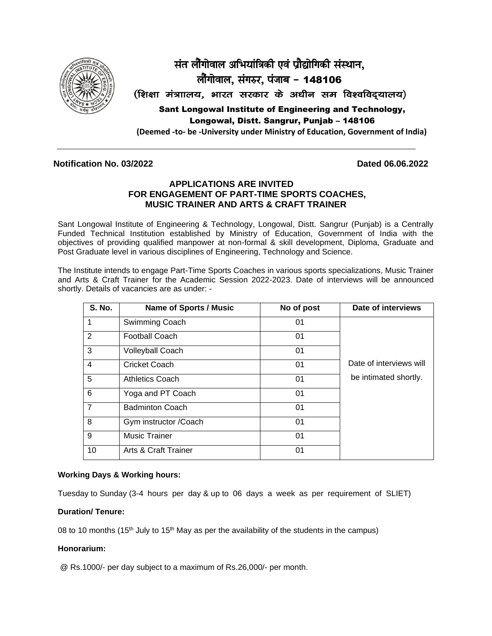

# संत लौंगोवाल अभियांत्रिकी एवं प्रौद्योगिकी संस्थान, लौंगोवाल, संगरुर, पंजाब - 148106 (शिक्षा मंत्राालय, भारत सरकार के अधीन सम विश्वविदयालय) Sant Longowal Institute of Engineering and Technology, Longowal, Distt. Sangrur, Punjab – 148106

**(Deemed -to- be -University under Ministry of Education, Government of India)**

### **Notification No. 03/2022 Dated 06.06.2022**

### **APPLICATIONS ARE INVITED FOR ENGAGEMENT OF PART-TIME SPORTS COACHES, MUSIC TRAINER AND ARTS & CRAFT TRAINER**

Sant Longowal Institute of Engineering & Technology, Longowal, Distt. Sangrur (Punjab) is a Centrally Funded Technical Institution established by Ministry of Education, Government of India with the objectives of providing qualified manpower at non-formal & skill development, Diploma, Graduate and Post Graduate level in various disciplines of Engineering, Technology and Science.

The Institute intends to engage Part-Time Sports Coaches in various sports specializations, Music Trainer and Arts & Craft Trainer for the Academic Session 2022-2023. Date of interviews will be announced shortly. Details of vacancies are as under: -

| <b>S. No.</b>  | <b>Name of Sports / Music</b>   | No of post | Date of interviews      |
|----------------|---------------------------------|------------|-------------------------|
|                | Swimming Coach                  | 01         |                         |
| 2              | <b>Football Coach</b>           | 01         |                         |
| 3              | <b>Volleyball Coach</b>         | 01         |                         |
| 4              | Cricket Coach                   | 01         | Date of interviews will |
| 5              | <b>Athletics Coach</b>          | 01         | be intimated shortly.   |
| 6              | Yoga and PT Coach               | 01         |                         |
| $\overline{7}$ | <b>Badminton Coach</b>          | 01         |                         |
| 8              | Gym instructor / Coach          | 01         |                         |
| 9              | <b>Music Trainer</b>            | 01         |                         |
| 10             | <b>Arts &amp; Craft Trainer</b> | 01         |                         |

#### **Working Days & Working hours:**

Tuesday to Sunday (3-4 hours per day & up to 06 days a week as per requirement of SLIET)

#### **Duration/ Tenure:**

08 to 10 months (15<sup>th</sup> July to 15<sup>th</sup> May as per the availability of the students in the campus)

#### **Honorarium:**

@ Rs.1000/- per day subject to a maximum of Rs.26,000/- per month.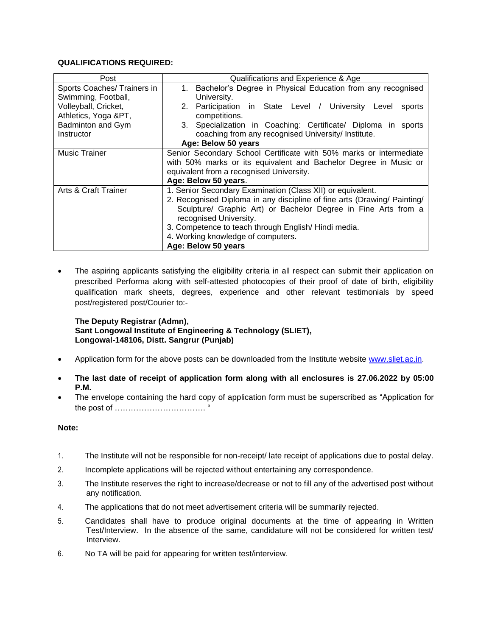#### **QUALIFICATIONS REQUIRED:**

| Post                            | Qualifications and Experience & Age                                      |  |  |  |  |  |  |  |
|---------------------------------|--------------------------------------------------------------------------|--|--|--|--|--|--|--|
| Sports Coaches/ Trainers in     | Bachelor's Degree in Physical Education from any recognised<br>1.        |  |  |  |  |  |  |  |
| Swimming, Football,             | University.                                                              |  |  |  |  |  |  |  |
| Volleyball, Cricket,            | Participation in State Level / University Level<br>2.<br>sports          |  |  |  |  |  |  |  |
| Athletics, Yoga &PT,            | competitions.                                                            |  |  |  |  |  |  |  |
| Badminton and Gym               | 3. Specialization in Coaching: Certificate/ Diploma in sports            |  |  |  |  |  |  |  |
| Instructor                      | coaching from any recognised University/ Institute.                      |  |  |  |  |  |  |  |
|                                 | Age: Below 50 years                                                      |  |  |  |  |  |  |  |
| <b>Music Trainer</b>            | Senior Secondary School Certificate with 50% marks or intermediate       |  |  |  |  |  |  |  |
|                                 | with 50% marks or its equivalent and Bachelor Degree in Music or         |  |  |  |  |  |  |  |
|                                 | equivalent from a recognised University.                                 |  |  |  |  |  |  |  |
|                                 | Age: Below 50 years.                                                     |  |  |  |  |  |  |  |
| <b>Arts &amp; Craft Trainer</b> | 1. Senior Secondary Examination (Class XII) or equivalent.               |  |  |  |  |  |  |  |
|                                 | 2. Recognised Diploma in any discipline of fine arts (Drawing/ Painting/ |  |  |  |  |  |  |  |
|                                 | Sculpture/ Graphic Art) or Bachelor Degree in Fine Arts from a           |  |  |  |  |  |  |  |
|                                 | recognised University.                                                   |  |  |  |  |  |  |  |
|                                 | 3. Competence to teach through English/Hindi media.                      |  |  |  |  |  |  |  |
|                                 | 4. Working knowledge of computers.                                       |  |  |  |  |  |  |  |
|                                 | Age: Below 50 years                                                      |  |  |  |  |  |  |  |

The aspiring applicants satisfying the eligibility criteria in all respect can submit their application on prescribed Performa along with self-attested photocopies of their proof of date of birth, eligibility qualification mark sheets, degrees, experience and other relevant testimonials by speed post/registered post/Courier to:-

#### **The Deputy Registrar (Admn), Sant Longowal Institute of Engineering & Technology (SLIET), Longowal-148106, Distt. Sangrur (Punjab)**

- Application form for the above posts can be downloaded from the Institute website [www.sliet.ac.in.](http://www.sliet.org/)
- **The last date of receipt of application form along with all enclosures is 27.06.2022 by 05:00 P.M.**
- The envelope containing the hard copy of application form must be superscribed as "Application for the post of ……………………………. "

#### **Note:**

- 1. The Institute will not be responsible for non-receipt/ late receipt of applications due to postal delay.
- 2. Incomplete applications will be rejected without entertaining any correspondence.
- 3. The Institute reserves the right to increase/decrease or not to fill any of the advertised post without any notification.
- 4. The applications that do not meet advertisement criteria will be summarily rejected.
- 5. Candidates shall have to produce original documents at the time of appearing in Written Test/Interview. In the absence of the same, candidature will not be considered for written test/ Interview.
- 6. No TA will be paid for appearing for written test/interview.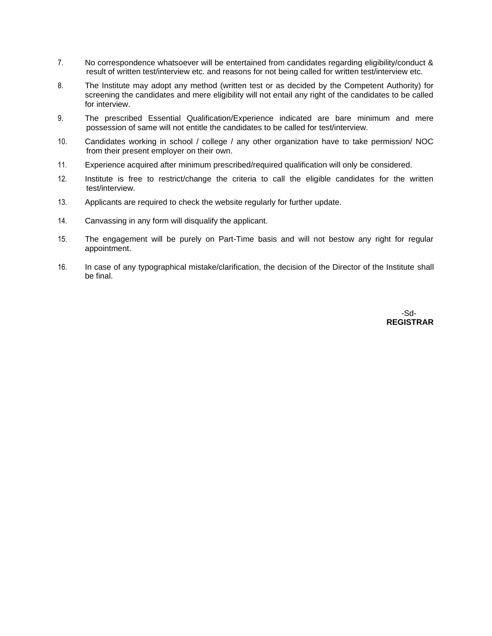- 7. No correspondence whatsoever will be entertained from candidates regarding eligibility/conduct & result of written test/interview etc. and reasons for not being called for written test/interview etc.
- 8. The Institute may adopt any method (written test or as decided by the Competent Authority) for screening the candidates and mere eligibility will not entail any right of the candidates to be called for interview.
- 9. The prescribed Essential Qualification/Experience indicated are bare minimum and mere possession of same will not entitle the candidates to be called for test/interview.
- 10. Candidates working in school / college / any other organization have to take permission/ NOC from their present employer on their own.
- 11. Experience acquired after minimum prescribed/required qualification will only be considered.
- 12. Institute is free to restrict/change the criteria to call the eligible candidates for the written test/interview.
- 13. Applicants are required to check the website regularly for further update.
- 14. Canvassing in any form will disqualify the applicant.
- 15. The engagement will be purely on Part-Time basis and will not bestow any right for regular appointment.
- 16. In case of any typographical mistake/clarification, the decision of the Director of the Institute shall be final.

-Sd-State of the control of the control of the control of the control of the control of the control of the con **REGISTRAR**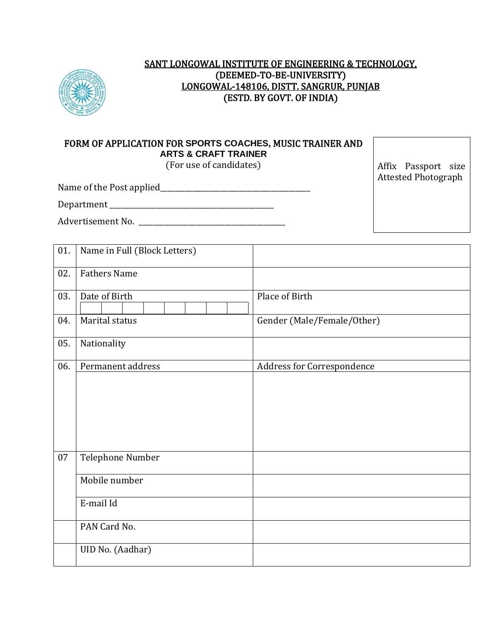

# SANT LONGOWAL INSTITUTE OF ENGINEERING & TECHNOLOGY, (DEEMED-TO-BE-UNIVERSITY) LONGOWAL-148106, DISTT. SANGRUR, PUNJAB (ESTD. BY GOVT. OF INDIA)

# FORM OF APPLICATION FOR **SPORTS COACHES,** MUSIC TRAINER AND **ARTS & CRAFT TRAINER**

(For use of candidates)

 $\overline{\phantom{a}}$  . The Post applied  $\overline{\phantom{a}}$  applied to  $\overline{\phantom{a}}$ 

Affix Passport size Attested Photograph

| Name of the Post applied |  |
|--------------------------|--|
|--------------------------|--|

Department \_\_\_\_\_\_\_\_\_\_\_\_\_\_\_\_\_\_\_\_\_\_\_\_\_\_\_\_\_\_\_\_\_\_\_\_\_\_\_\_\_\_\_\_\_\_

Advertisement No. \_\_\_\_\_\_\_\_\_\_\_\_\_\_\_\_\_\_\_\_\_\_\_\_\_\_\_\_\_\_\_\_\_\_\_\_\_\_\_\_\_

| 01. | Name in Full (Block Letters) |                            |
|-----|------------------------------|----------------------------|
| 02. | <b>Fathers Name</b>          |                            |
| 03. | Date of Birth                | Place of Birth             |
| 04. | Marital status               | Gender (Male/Female/Other) |
| 05. | Nationality                  |                            |
| 06. | Permanent address            | Address for Correspondence |
|     |                              |                            |
| 07  | Telephone Number             |                            |
|     | Mobile number                |                            |
|     | E-mail Id                    |                            |
|     | PAN Card No.                 |                            |
|     | UID No. (Aadhar)             |                            |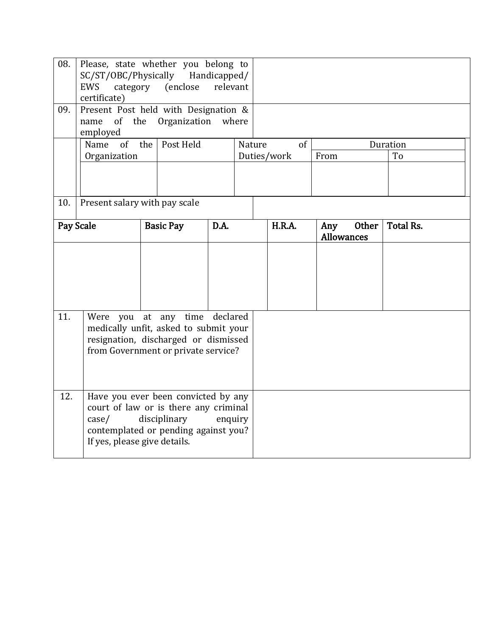| 08.<br>Please, state whether you belong to<br>SC/ST/OBC/Physically Handicapped/<br>category (enclose<br>relevant<br><b>EWS</b><br>certificate)<br>Present Post held with Designation &<br>09.<br>Organization<br>where<br>of<br>the<br>name<br>employed |                                                                                                                                                                                             |                               |      |        |               |                                   |  |                  |
|---------------------------------------------------------------------------------------------------------------------------------------------------------------------------------------------------------------------------------------------------------|---------------------------------------------------------------------------------------------------------------------------------------------------------------------------------------------|-------------------------------|------|--------|---------------|-----------------------------------|--|------------------|
|                                                                                                                                                                                                                                                         | $of$ <sup><math>-</math></sup><br>Name                                                                                                                                                      | Post Held<br>the              |      | Nature | of            | Duration                          |  |                  |
|                                                                                                                                                                                                                                                         | Organization                                                                                                                                                                                |                               |      |        | Duties/work   | From                              |  | To               |
|                                                                                                                                                                                                                                                         |                                                                                                                                                                                             |                               |      |        |               |                                   |  |                  |
| 10.                                                                                                                                                                                                                                                     |                                                                                                                                                                                             | Present salary with pay scale |      |        |               |                                   |  |                  |
| Pay Scale                                                                                                                                                                                                                                               |                                                                                                                                                                                             | <b>Basic Pay</b>              | D.A. |        | <b>H.R.A.</b> | Other<br>Any<br><b>Allowances</b> |  | <b>Total Rs.</b> |
|                                                                                                                                                                                                                                                         |                                                                                                                                                                                             |                               |      |        |               |                                   |  |                  |
| 11.<br>declared<br>Were you at any time<br>medically unfit, asked to submit your<br>resignation, discharged or dismissed<br>from Government or private service?                                                                                         |                                                                                                                                                                                             |                               |      |        |               |                                   |  |                  |
| 12.                                                                                                                                                                                                                                                     | Have you ever been convicted by any<br>court of law or is there any criminal<br>disciplinary<br>enquiry<br>$\case/$<br>contemplated or pending against you?<br>If yes, please give details. |                               |      |        |               |                                   |  |                  |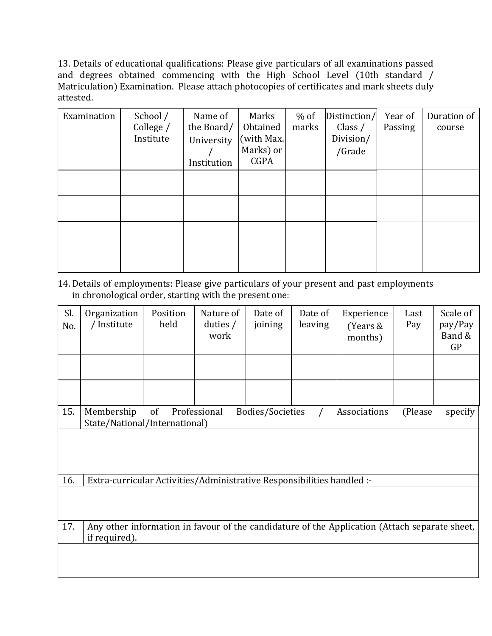13. Details of educational qualifications: Please give particulars of all examinations passed and degrees obtained commencing with the High School Level (10th standard / Matriculation) Examination. Please attach photocopies of certificates and mark sheets duly attested.

| Examination | School /<br>College /<br>Institute | Name of<br>the Board/<br>University<br>Institution | Marks<br>Obtained<br>(with Max.<br>Marks) or<br><b>CGPA</b> | $%$ of<br>marks | Distinction/<br>Class $/$<br>Division/<br>/Grade | Year of<br>Passing | Duration of<br>course |
|-------------|------------------------------------|----------------------------------------------------|-------------------------------------------------------------|-----------------|--------------------------------------------------|--------------------|-----------------------|
|             |                                    |                                                    |                                                             |                 |                                                  |                    |                       |
|             |                                    |                                                    |                                                             |                 |                                                  |                    |                       |
|             |                                    |                                                    |                                                             |                 |                                                  |                    |                       |
|             |                                    |                                                    |                                                             |                 |                                                  |                    |                       |

14. Details of employments: Please give particulars of your present and past employments in chronological order, starting with the present one:

| Sl.<br>No. | Organization<br>/ Institute                                                                                    | Position<br>held | Nature of<br>duties $/$<br>work | Date of<br>joining | Date of<br>leaving | Experience<br>(Years &<br>months) | Last<br>Pay | Scale of<br>pay/Pay<br>Band &<br>GP |
|------------|----------------------------------------------------------------------------------------------------------------|------------------|---------------------------------|--------------------|--------------------|-----------------------------------|-------------|-------------------------------------|
|            |                                                                                                                |                  |                                 |                    |                    |                                   |             |                                     |
|            |                                                                                                                |                  |                                 |                    |                    |                                   |             |                                     |
| 15.        | Membership<br>State/National/International)                                                                    | of               | Professional                    | Bodies/Societies   |                    | Associations                      | (Please     | specify                             |
|            |                                                                                                                |                  |                                 |                    |                    |                                   |             |                                     |
| 16.        | Extra-curricular Activities/Administrative Responsibilities handled :-                                         |                  |                                 |                    |                    |                                   |             |                                     |
|            |                                                                                                                |                  |                                 |                    |                    |                                   |             |                                     |
| 17.        | Any other information in favour of the candidature of the Application (Attach separate sheet,<br>if required). |                  |                                 |                    |                    |                                   |             |                                     |
|            |                                                                                                                |                  |                                 |                    |                    |                                   |             |                                     |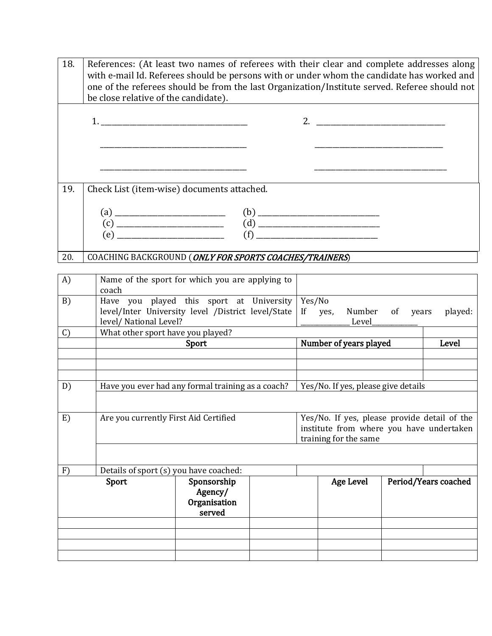| 18.           | References: (At least two names of referees with their clear and complete addresses along<br>with e-mail Id. Referees should be persons with or under whom the candidate has worked and<br>one of the referees should be from the last Organization/Institute served. Referee should not<br>be close relative of the candidate). |                                                  |  |                   |                                     |             |                      |  |  |
|---------------|----------------------------------------------------------------------------------------------------------------------------------------------------------------------------------------------------------------------------------------------------------------------------------------------------------------------------------|--------------------------------------------------|--|-------------------|-------------------------------------|-------------|----------------------|--|--|
|               |                                                                                                                                                                                                                                                                                                                                  |                                                  |  |                   |                                     |             |                      |  |  |
|               |                                                                                                                                                                                                                                                                                                                                  |                                                  |  |                   |                                     |             |                      |  |  |
|               |                                                                                                                                                                                                                                                                                                                                  |                                                  |  |                   |                                     |             |                      |  |  |
| 19.           | Check List (item-wise) documents attached.                                                                                                                                                                                                                                                                                       |                                                  |  |                   |                                     |             |                      |  |  |
|               |                                                                                                                                                                                                                                                                                                                                  |                                                  |  |                   |                                     |             |                      |  |  |
|               |                                                                                                                                                                                                                                                                                                                                  |                                                  |  |                   |                                     |             |                      |  |  |
|               |                                                                                                                                                                                                                                                                                                                                  |                                                  |  |                   |                                     |             |                      |  |  |
| 20.           | COACHING BACKGROUND (ONLY FOR SPORTS COACHES/TRAINERS)                                                                                                                                                                                                                                                                           |                                                  |  |                   |                                     |             |                      |  |  |
| A)            | Name of the sport for which you are applying to<br>coach                                                                                                                                                                                                                                                                         |                                                  |  |                   |                                     |             |                      |  |  |
| B)            | Have you played this sport at University<br>level/Inter University level /District level/State<br>level/ National Level?                                                                                                                                                                                                         |                                                  |  | Yes/No<br>If yes, | Number<br>Level______               | of<br>years | played:              |  |  |
| $\mathcal{C}$ | What other sport have you played?                                                                                                                                                                                                                                                                                                |                                                  |  |                   |                                     |             |                      |  |  |
|               |                                                                                                                                                                                                                                                                                                                                  | Sport                                            |  |                   | Number of years played              | Level       |                      |  |  |
|               |                                                                                                                                                                                                                                                                                                                                  |                                                  |  |                   |                                     |             |                      |  |  |
| D)            | Have you ever had any formal training as a coach?                                                                                                                                                                                                                                                                                |                                                  |  |                   | Yes/No. If yes, please give details |             |                      |  |  |
|               |                                                                                                                                                                                                                                                                                                                                  |                                                  |  |                   |                                     |             |                      |  |  |
| E)            | Are you currently First Aid Certified Yes/No. If yes, please provide detail of the<br>institute from where you have undertaken<br>training for the same                                                                                                                                                                          |                                                  |  |                   |                                     |             |                      |  |  |
|               |                                                                                                                                                                                                                                                                                                                                  |                                                  |  |                   |                                     |             |                      |  |  |
| F)            |                                                                                                                                                                                                                                                                                                                                  | Details of sport (s) you have coached:           |  |                   |                                     |             |                      |  |  |
|               | Sport                                                                                                                                                                                                                                                                                                                            | Sponsorship<br>Agency/<br>Organisation<br>served |  |                   | <b>Age Level</b>                    |             | Period/Years coached |  |  |
|               |                                                                                                                                                                                                                                                                                                                                  |                                                  |  |                   |                                     |             |                      |  |  |
|               |                                                                                                                                                                                                                                                                                                                                  |                                                  |  |                   |                                     |             |                      |  |  |
|               |                                                                                                                                                                                                                                                                                                                                  |                                                  |  |                   |                                     |             |                      |  |  |